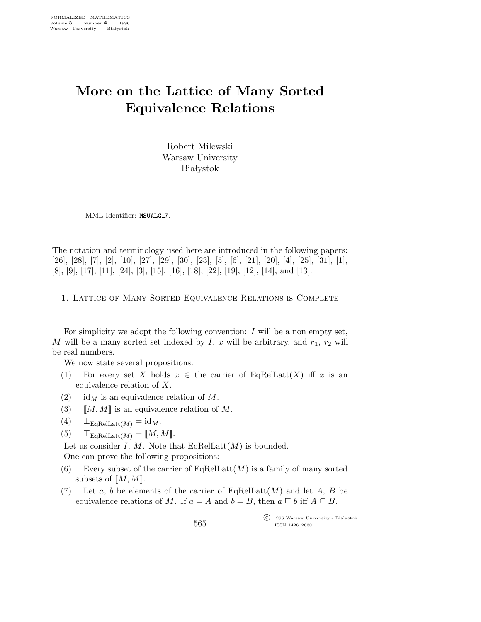## More on the Lattice of Many Sorted Equivalence Relations

Robert Milewski Warsaw University **Białystok** 

MML Identifier: MSUALG\_7.

The notation and terminology used here are introduced in the following papers: [26], [28], [7], [2], [10], [27], [29], [30], [23], [5], [6], [21], [20], [4], [25], [31], [1], [8], [9], [17], [11], [24], [3], [15], [16], [18], [22], [19], [12], [14], and [13].

1. Lattice of Many Sorted Equivalence Relations is Complete

For simplicity we adopt the following convention:  $I$  will be a non empty set, M will be a many sorted set indexed by I, x will be arbitrary, and  $r_1$ ,  $r_2$  will be real numbers.

We now state several propositions:

- (1) For every set X holds  $x \in \mathcal{X}$  for exert of EqRelLatt(X) iff x is an equivalence relation of X.
- (2) id<sub>M</sub> is an equivalence relation of M.
- (3)  $[M, M]$  is an equivalence relation of M.
- (4)  $\perp_{\text{EqRelLatt}(M)} = \text{id}_M.$
- (5)  $\top_{\text{EqRelLatt}(M)} = [M, M].$

Let us consider I, M. Note that  $\text{EqRelLat}(M)$  is bounded.

One can prove the following propositions:

- (6) Every subset of the carrier of  $EqRelLatt(M)$  is a family of many sorted subsets of  $[M, M]$ .
- (7) Let a, b be elements of the carrier of EqRelLatt $(M)$  and let A, B be equivalence relations of M. If  $a = A$  and  $b = B$ , then  $a \subseteq b$  iff  $A \subseteq B$ .

 $\overline{\text{C}}$  1996 Warsaw University - Białystok ISSN 1426–2630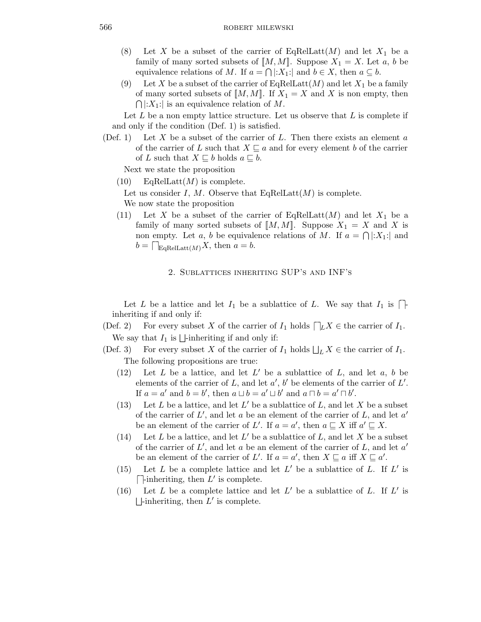- (8) Let X be a subset of the carrier of EqRelLatt $(M)$  and let  $X_1$  be a family of many sorted subsets of  $[M, M]$ . Suppose  $X_1 = X$ . Let a, b be equivalence relations of M. If  $a = \bigcap |X_1|$  and  $b \in X$ , then  $a \subseteq b$ .
- (9) Let X be a subset of the carrier of EqRelLatt $(M)$  and let  $X_1$  be a family of many sorted subsets of  $[M, M]$ . If  $X_1 = X$  and X is non empty, then  $\bigcap |X_1|$  is an equivalence relation of M.

Let  $L$  be a non empty lattice structure. Let us observe that  $L$  is complete if and only if the condition (Def. 1) is satisfied.

(Def. 1) Let X be a subset of the carrier of L. Then there exists an element  $a$ of the carrier of L such that  $X \subseteq a$  and for every element b of the carrier of L such that  $X \sqsubseteq b$  holds  $a \sqsubseteq b$ .

Next we state the proposition

 $(10)$  EqRelLatt $(M)$  is complete.

Let us consider I, M. Observe that  $\text{EqRelLatt}(M)$  is complete. We now state the proposition

(11) Let X be a subset of the carrier of EqRelLatt $(M)$  and let  $X_1$  be a family of many sorted subsets of  $[M, M]$ . Suppose  $X_1 = X$  and X is non empty. Let a, b be equivalence relations of M. If  $a = \bigcap |X_1|$  and  $b = \bigcap_{\text{EqRelLatt}(M)} X$ , then  $a = b$ .

## 2. Sublattices inheriting SUP's and INF's

Let L be a lattice and let  $I_1$  be a sublattice of L. We say that  $I_1$  is  $\Box$ inheriting if and only if:

- (Def. 2) For every subset X of the carrier of  $I_1$  holds  $\Box_L X \in \text{the carrier of } I_1$ . We say that  $I_1$  is  $\Box$ -inheriting if and only if:
- (Def. 3) For every subset X of the carrier of  $I_1$  holds  $\bigsqcup_L X \in$  the carrier of  $I_1$ . The following propositions are true:
	- (12) Let  $L$  be a lattice, and let  $L'$  be a sublattice of  $L$ , and let  $a, b$  be elements of the carrier of L, and let  $a'$ , b' be elements of the carrier of L'. If  $a = a'$  and  $b = b'$ , then  $a \sqcup b = a' \sqcup b'$  and  $a \sqcap b = a' \sqcap b'$ .
	- (13) Let L be a lattice, and let  $L'$  be a sublattice of L, and let X be a subset of the carrier of  $L'$ , and let a be an element of the carrier of L, and let  $a'$ be an element of the carrier of L'. If  $a = a'$ , then  $a \sqsubseteq X$  iff  $a' \sqsubseteq X$ .
	- (14) Let L be a lattice, and let  $L'$  be a sublattice of L, and let X be a subset of the carrier of  $L'$ , and let a be an element of the carrier of  $L$ , and let  $a'$ be an element of the carrier of L'. If  $a = a'$ , then  $X \sqsubseteq a$  iff  $X \sqsubseteq a'$ .
	- (15) Let  $L$  be a complete lattice and let  $L'$  be a sublattice of  $L$ . If  $L'$  is  $\Box$ -inheriting, then  $L'$  is complete.
	- (16) Let  $L$  be a complete lattice and let  $L'$  be a sublattice of  $L$ . If  $L'$  is  $\Box$ -inheriting, then  $L'$  is complete.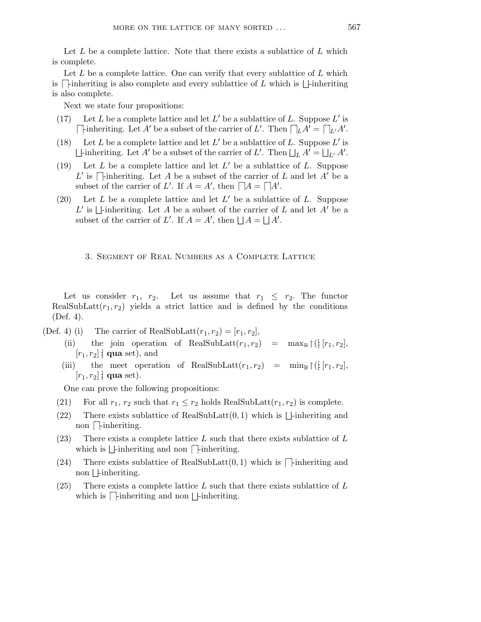Let  $L$  be a complete lattice. Note that there exists a sublattice of  $L$  which is complete.

Let  $L$  be a complete lattice. One can verify that every sublattice of  $L$  which is  $\Box$ -inheriting is also complete and every sublattice of L which is  $\Box$ -inheriting is also complete.

Next we state four propositions:

- (17) Let L be a complete lattice and let  $L'$  be a sublattice of L. Suppose  $L'$  is  $\Box$  inheriting. Let A' be a subset of the carrier of L'. Then  $\Box$   $\Box A' = \Box$   $\Box A'.$
- (18) Let L be a complete lattice and let  $L'$  be a sublattice of L. Suppose  $L'$  is  $\Box$ -inheriting. Let A' be a subset of the carrier of L'. Then  $\Box_L A' = \Box_{L'} A'$ .
- (19) Let  $L$  be a complete lattice and let  $L'$  be a sublattice of  $L$ . Suppose L' is  $\Box$ -inheriting. Let A be a subset of the carrier of L and let A' be a subset of the carrier of L'. If  $A = A'$ , then  $\Box A = \Box A'$ .
- (20) Let  $L$  be a complete lattice and let  $L'$  be a sublattice of  $L$ . Suppose L' is  $\Box$ -inheriting. Let A be a subset of the carrier of L and let  $\overrightarrow{A}$  be a subset of the carrier of L'. If  $A = A'$ , then  $\Box A = \Box A'$ .
	- 3. Segment of Real Numbers as a Complete Lattice

Let us consider  $r_1$ ,  $r_2$ . Let us assume that  $r_1 \leq r_2$ . The functor RealSubLatt $(r_1,r_2)$  yields a strict lattice and is defined by the conditions (Def. 4).

- (Def. 4) (i) The carrier of RealSubLatt $(r_1, r_2) = [r_1, r_2]$ ,
	- (ii) the join operation of RealSubLatt $(r_1, r_2)$  = max<sub>R</sub>  $\upharpoonright (\frac{r_1, r_2}{r_1})$ ,  $[r_1, r_2]$  **qua** set), and
	- (iii) the meet operation of RealSubLatt $(r_1, r_2)$  = min<sub>R</sub>  $\lfloor (r_1, r_2) \rfloor$ ,  $[r_1,r_2]$  : qua set).

One can prove the following propositions:

- (21) For all  $r_1$ ,  $r_2$  such that  $r_1 \leq r_2$  holds RealSubLatt $(r_1, r_2)$  is complete.
- (22) There exists sublattice of RealSubLatt $(0, 1)$  which is  $\Box$ -inheriting and  $\frac{1}{\ln 100}$  onlines be.
- (23) There exists a complete lattice  $L$  such that there exists sublattice of  $L$ which is  $\Box$ -inheriting and non  $\Box$ -inheriting.
- (24) There exists sublattice of RealSubLatt $(0, 1)$  which is  $\Box$ -inheriting and non  $\Box$ -inheriting.
- (25) There exists a complete lattice L such that there exists sublattice of L which is  $\Box$ -inheriting and non  $\Box$ -inheriting.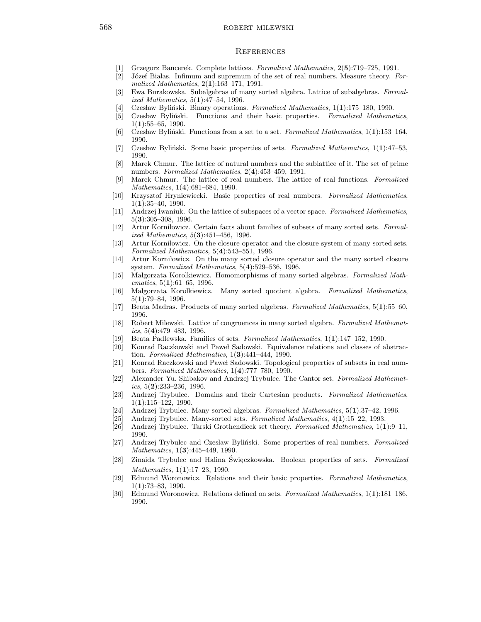## 568 robert milewski

## **REFERENCES**

- [1] Grzegorz Bancerek. Complete lattices. Formalized Mathematics, 2(5):719–725, 1991.
- [2] Józef Białas. Infimum and supremum of the set of real numbers. Measure theory. Formalized Mathematics, 2(1):163–171, 1991.
- [3] Ewa Burakowska. Subalgebras of many sorted algebra. Lattice of subalgebras. Formalized Mathematics, 5(1):47–54, 1996.
- [4] Czesław Byliński. Binary operations. Formalized Mathematics,  $1(1):175-180$ , 1990.
- [5] Czesław Byliński. Functions and their basic properties. Formalized Mathematics,  $1(1):55-65, 1990.$
- [6] Czesław Byliński. Functions from a set to a set. Formalized Mathematics,  $1(1)$ :153–164, 1990.
- [7] Czesław Byliński. Some basic properties of sets. Formalized Mathematics, 1(1):47–53, 1990.
- [8] Marek Chmur. The lattice of natural numbers and the sublattice of it. The set of prime numbers. Formalized Mathematics, 2(4):453–459, 1991.
- [9] Marek Chmur. The lattice of real numbers. The lattice of real functions. Formalized Mathematics, 1(4):681–684, 1990.
- [10] Krzysztof Hryniewiecki. Basic properties of real numbers. Formalized Mathematics, 1(1):35–40, 1990.
- [11] Andrzej Iwaniuk. On the lattice of subspaces of a vector space. Formalized Mathematics, 5(3):305–308, 1996.
- [12] Artur Korniłowicz. Certain facts about families of subsets of many sorted sets. Formalized Mathematics, 5(3):451–456, 1996.
- [13] Artur Korni lowicz. On the closure operator and the closure system of many sorted sets. Formalized Mathematics, 5(4):543–551, 1996.
- [14] Artur Korni lowicz. On the many sorted closure operator and the many sorted closure system. Formalized Mathematics, 5(4):529–536, 1996.
- [15] Malgorzata Korolkiewicz. Homomorphisms of many sorted algebras. Formalized Mathematics,  $5(1):61-65$ , 1996.
- [16] Malgorzata Korolkiewicz. Many sorted quotient algebra. Formalized Mathematics, 5(1):79–84, 1996.
- [17] Beata Madras. Products of many sorted algebras. Formalized Mathematics, 5(1):55–60, 1996.
- [18] Robert Milewski. Lattice of congruences in many sorted algebra. Formalized Mathematics,  $5(4):479-483$ , 1996.
- [19] Beata Padlewska. Families of sets. Formalized Mathematics, 1(1):147–152, 1990.
- [20] Konrad Raczkowski and Paweł Sadowski. Equivalence relations and classes of abstraction. Formalized Mathematics, 1(3):441–444, 1990.
- [21] Konrad Raczkowski and Paweł Sadowski. Topological properties of subsets in real numbers. Formalized Mathematics, 1(4):777–780, 1990.
- [22] Alexander Yu. Shibakov and Andrzej Trybulec. The Cantor set. Formalized Mathematics,  $5(2):233-236$ , 1996.
- [23] Andrzej Trybulec. Domains and their Cartesian products. Formalized Mathematics, 1(1):115–122, 1990.
- [24] Andrzej Trybulec. Many sorted algebras. Formalized Mathematics, 5(1):37–42, 1996.
- [25] Andrzej Trybulec. Many-sorted sets. Formalized Mathematics, 4(1):15–22, 1993.
- [26] Andrzej Trybulec. Tarski Grothendieck set theory. Formalized Mathematics, 1(1):9–11, 1990.
- [27] Andrzej Trybulec and Czesław Byliński. Some properties of real numbers. Formalized Mathematics, 1(**3**):445–449, 1990.
- [28] Zinaida Trybulec and Halina Święczkowska. Boolean properties of sets. Formalized Mathematics, 1(1):17-23, 1990.
- [29] Edmund Woronowicz. Relations and their basic properties. Formalized Mathematics,  $1(1):73-83, 1990.$
- [30] Edmund Woronowicz. Relations defined on sets. Formalized Mathematics, 1(1):181–186, 1990.